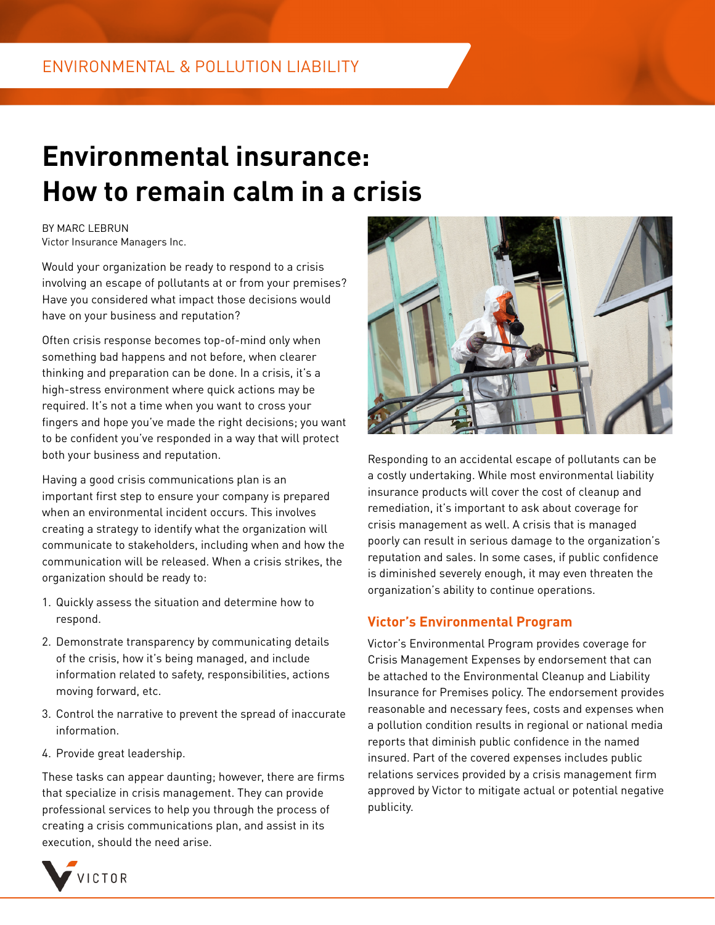## **Environmental insurance: How to remain calm in a crisis**

BY MARC LEBRUN Victor Insurance Managers Inc.

Would your organization be ready to respond to a crisis involving an escape of pollutants at or from your premises? Have you considered what impact those decisions would have on your business and reputation?

Often crisis response becomes top-of-mind only when something bad happens and not before, when clearer thinking and preparation can be done. In a crisis, it's a high-stress environment where quick actions may be required. It's not a time when you want to cross your fingers and hope you've made the right decisions; you want to be confident you've responded in a way that will protect both your business and reputation.

Having a good crisis communications plan is an important first step to ensure your company is prepared when an environmental incident occurs. This involves creating a strategy to identify what the organization will communicate to stakeholders, including when and how the communication will be released. When a crisis strikes, the organization should be ready to:

- 1. Quickly assess the situation and determine how to respond.
- 2. Demonstrate transparency by communicating details of the crisis, how it's being managed, and include information related to safety, responsibilities, actions moving forward, etc.
- 3. Control the narrative to prevent the spread of inaccurate information.
- 4. Provide great leadership.

These tasks can appear daunting; however, there are firms that specialize in crisis management. They can provide professional services to help you through the process of creating a crisis communications plan, and assist in its execution, should the need arise.



Responding to an accidental escape of pollutants can be a costly undertaking. While most environmental liability insurance products will cover the cost of cleanup and remediation, it's important to ask about coverage for crisis management as well. A crisis that is managed poorly can result in serious damage to the organization's reputation and sales. In some cases, if public confidence is diminished severely enough, it may even threaten the organization's ability to continue operations.

## **Victor's Environmental Program**

Victor's Environmental Program provides coverage for Crisis Management Expenses by endorsement that can be attached to the Environmental Cleanup and Liability Insurance for Premises policy. The endorsement provides reasonable and necessary fees, costs and expenses when a pollution condition results in regional or national media reports that diminish public confidence in the named insured. Part of the covered expenses includes public relations services provided by a crisis management firm approved by Victor to mitigate actual or potential negative publicity.